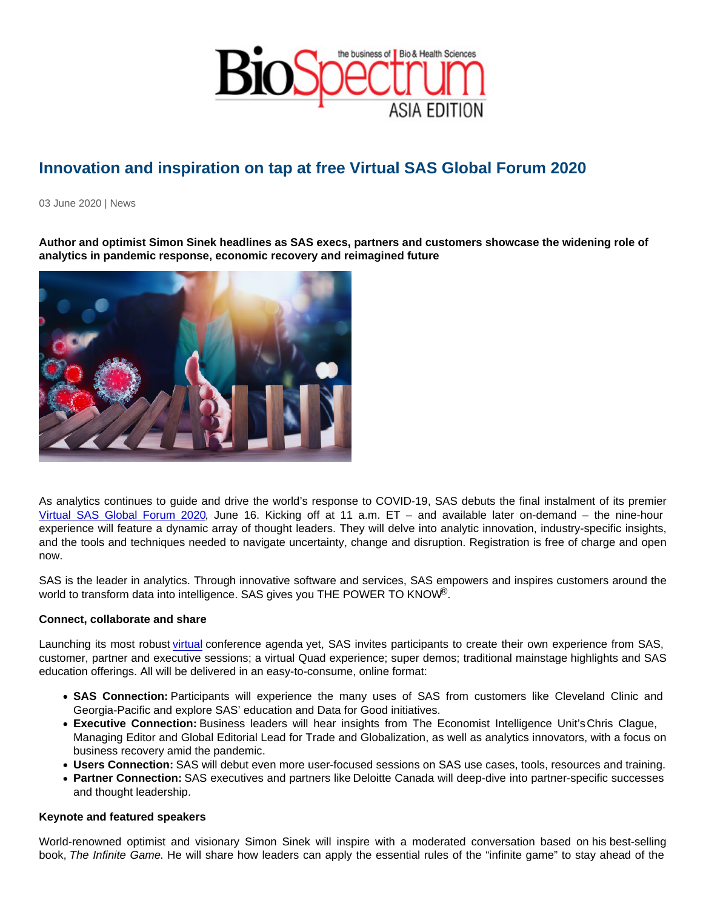## Innovation and inspiration on tap at free Virtual SAS Global Forum 2020

03 June 2020 | News

Author and optimist Simon Sinek headlines as SAS execs, partners and customers showcase the widening role of analytics in pandemic response, economic recovery and reimagined future

As analytics continues to guide and drive the world's response to COVID-19, SAS debuts the final instalment of its premier [Virtual SAS Global Forum 2020,](https://www.sas.com/en_us/events/sas-global-forum.html) June 16. Kicking off at 11 a.m. ET – and available later on-demand – the nine-hour experience will feature a dynamic array of thought leaders. They will delve into analytic innovation, industry-specific insights, and the tools and techniques needed to navigate uncertainty, change and disruption. Registration is free of charge and open now.

SAS is the leader in analytics. Through innovative software and services, SAS empowers and inspires customers around the world to transform data into intelligence. SAS gives you THE POWER TO KNOW®.

## Connect, collaborate and share

Launching its most robust [virtual](https://www.sas.com/en_us/events/sas-global-forum/agenda.html) conference agenda yet, SAS invites participants to create their own experience from SAS, customer, partner and executive sessions; a virtual Quad experience; super demos; traditional mainstage highlights and SAS education offerings. All will be delivered in an easy-to-consume, online format:

- SAS Connection: Participants will experience the many uses of SAS from customers like Cleveland Clinic and Georgia-Pacific and explore SAS' education and Data for Good initiatives.
- Executive Connection: Business leaders will hear insights from The Economist Intelligence Unit'sChris Clague, Managing Editor and Global Editorial Lead for Trade and Globalization, as well as analytics innovators, with a focus on business recovery amid the pandemic.
- Users Connection: SAS will debut even more user-focused sessions on SAS use cases, tools, resources and training.
- Partner Connection: SAS executives and partners like Deloitte Canada will deep-dive into partner-specific successes and thought leadership.

## Keynote and featured speakers

World-renowned optimist and visionary Simon Sinek will inspire with a moderated conversation based on his best-selling book, The Infinite Game. He will share how leaders can apply the essential rules of the "infinite game" to stay ahead of the